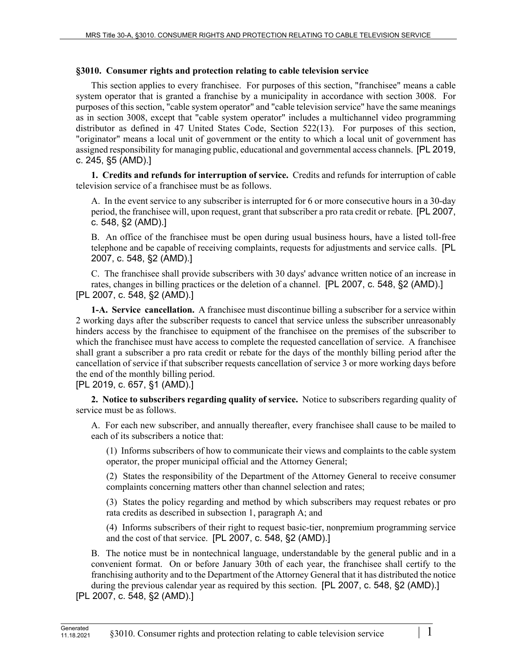### **§3010. Consumer rights and protection relating to cable television service**

This section applies to every franchisee. For purposes of this section, "franchisee" means a cable system operator that is granted a franchise by a municipality in accordance with section 3008. For purposes of this section, "cable system operator" and "cable television service" have the same meanings as in section 3008, except that "cable system operator" includes a multichannel video programming distributor as defined in 47 United States Code, Section 522(13). For purposes of this section, "originator" means a local unit of government or the entity to which a local unit of government has assigned responsibility for managing public, educational and governmental access channels. [PL 2019, c. 245, §5 (AMD).]

**1. Credits and refunds for interruption of service.** Credits and refunds for interruption of cable television service of a franchisee must be as follows.

A. In the event service to any subscriber is interrupted for 6 or more consecutive hours in a 30-day period, the franchisee will, upon request, grant that subscriber a pro rata credit or rebate. [PL 2007, c. 548, §2 (AMD).]

B. An office of the franchisee must be open during usual business hours, have a listed toll-free telephone and be capable of receiving complaints, requests for adjustments and service calls. [PL 2007, c. 548, §2 (AMD).]

C. The franchisee shall provide subscribers with 30 days' advance written notice of an increase in rates, changes in billing practices or the deletion of a channel. [PL 2007, c. 548, §2 (AMD).] [PL 2007, c. 548, §2 (AMD).]

**1-A. Service cancellation.** A franchisee must discontinue billing a subscriber for a service within 2 working days after the subscriber requests to cancel that service unless the subscriber unreasonably hinders access by the franchisee to equipment of the franchisee on the premises of the subscriber to which the franchisee must have access to complete the requested cancellation of service. A franchisee shall grant a subscriber a pro rata credit or rebate for the days of the monthly billing period after the cancellation of service if that subscriber requests cancellation of service 3 or more working days before the end of the monthly billing period.

[PL 2019, c. 657, §1 (AMD).]

**2. Notice to subscribers regarding quality of service.** Notice to subscribers regarding quality of service must be as follows.

A. For each new subscriber, and annually thereafter, every franchisee shall cause to be mailed to each of its subscribers a notice that:

(1) Informs subscribers of how to communicate their views and complaints to the cable system operator, the proper municipal official and the Attorney General;

(2) States the responsibility of the Department of the Attorney General to receive consumer complaints concerning matters other than channel selection and rates;

(3) States the policy regarding and method by which subscribers may request rebates or pro rata credits as described in subsection 1, paragraph A; and

(4) Informs subscribers of their right to request basic-tier, nonpremium programming service and the cost of that service. [PL 2007, c. 548, §2 (AMD).]

B. The notice must be in nontechnical language, understandable by the general public and in a convenient format. On or before January 30th of each year, the franchisee shall certify to the franchising authority and to the Department of the Attorney General that it has distributed the notice during the previous calendar year as required by this section. [PL 2007, c. 548, §2 (AMD).]

[PL 2007, c. 548, §2 (AMD).]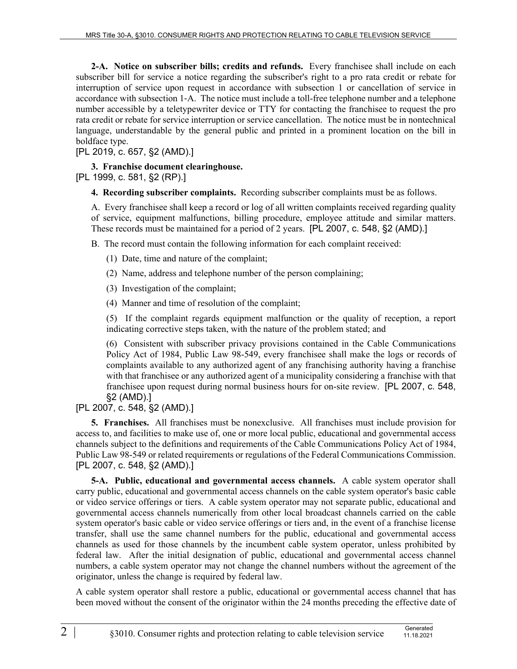**2-A. Notice on subscriber bills; credits and refunds.** Every franchisee shall include on each subscriber bill for service a notice regarding the subscriber's right to a pro rata credit or rebate for interruption of service upon request in accordance with subsection 1 or cancellation of service in accordance with subsection 1‑A. The notice must include a toll-free telephone number and a telephone number accessible by a teletypewriter device or TTY for contacting the franchisee to request the pro rata credit or rebate for service interruption or service cancellation. The notice must be in nontechnical language, understandable by the general public and printed in a prominent location on the bill in boldface type.

[PL 2019, c. 657, §2 (AMD).]

### **3. Franchise document clearinghouse.**

[PL 1999, c. 581, §2 (RP).]

**4. Recording subscriber complaints.** Recording subscriber complaints must be as follows.

A. Every franchisee shall keep a record or log of all written complaints received regarding quality of service, equipment malfunctions, billing procedure, employee attitude and similar matters. These records must be maintained for a period of 2 years. [PL 2007, c. 548, §2 (AMD).]

B. The record must contain the following information for each complaint received:

- (1) Date, time and nature of the complaint;
- (2) Name, address and telephone number of the person complaining;
- (3) Investigation of the complaint;

(4) Manner and time of resolution of the complaint;

(5) If the complaint regards equipment malfunction or the quality of reception, a report indicating corrective steps taken, with the nature of the problem stated; and

(6) Consistent with subscriber privacy provisions contained in the Cable Communications Policy Act of 1984, Public Law 98-549, every franchisee shall make the logs or records of complaints available to any authorized agent of any franchising authority having a franchise with that franchisee or any authorized agent of a municipality considering a franchise with that franchisee upon request during normal business hours for on-site review. [PL 2007, c. 548, §2 (AMD).]

# [PL 2007, c. 548, §2 (AMD).]

**5. Franchises.** All franchises must be nonexclusive. All franchises must include provision for access to, and facilities to make use of, one or more local public, educational and governmental access channels subject to the definitions and requirements of the Cable Communications Policy Act of 1984, Public Law 98-549 or related requirements or regulations of the Federal Communications Commission. [PL 2007, c. 548, §2 (AMD).]

**5-A. Public, educational and governmental access channels.** A cable system operator shall carry public, educational and governmental access channels on the cable system operator's basic cable or video service offerings or tiers. A cable system operator may not separate public, educational and governmental access channels numerically from other local broadcast channels carried on the cable system operator's basic cable or video service offerings or tiers and, in the event of a franchise license transfer, shall use the same channel numbers for the public, educational and governmental access channels as used for those channels by the incumbent cable system operator, unless prohibited by federal law. After the initial designation of public, educational and governmental access channel numbers, a cable system operator may not change the channel numbers without the agreement of the originator, unless the change is required by federal law.

A cable system operator shall restore a public, educational or governmental access channel that has been moved without the consent of the originator within the 24 months preceding the effective date of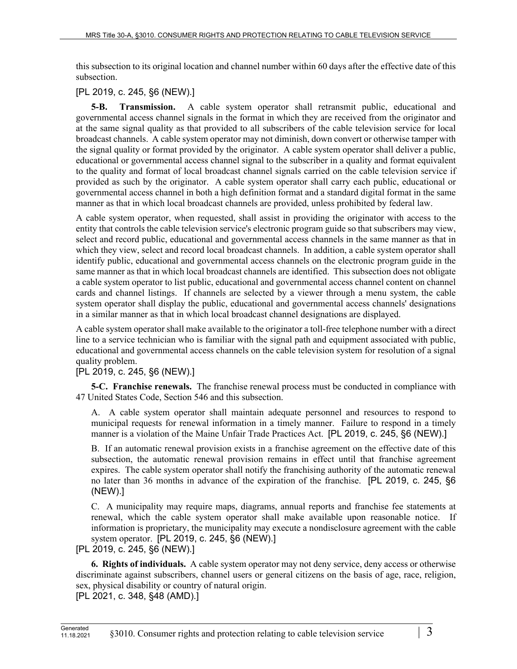this subsection to its original location and channel number within 60 days after the effective date of this subsection.

# [PL 2019, c. 245, §6 (NEW).]

**5-B. Transmission.** A cable system operator shall retransmit public, educational and governmental access channel signals in the format in which they are received from the originator and at the same signal quality as that provided to all subscribers of the cable television service for local broadcast channels. A cable system operator may not diminish, down convert or otherwise tamper with the signal quality or format provided by the originator. A cable system operator shall deliver a public, educational or governmental access channel signal to the subscriber in a quality and format equivalent to the quality and format of local broadcast channel signals carried on the cable television service if provided as such by the originator. A cable system operator shall carry each public, educational or governmental access channel in both a high definition format and a standard digital format in the same manner as that in which local broadcast channels are provided, unless prohibited by federal law.

A cable system operator, when requested, shall assist in providing the originator with access to the entity that controls the cable television service's electronic program guide so that subscribers may view, select and record public, educational and governmental access channels in the same manner as that in which they view, select and record local broadcast channels. In addition, a cable system operator shall identify public, educational and governmental access channels on the electronic program guide in the same manner as that in which local broadcast channels are identified. This subsection does not obligate a cable system operator to list public, educational and governmental access channel content on channel cards and channel listings. If channels are selected by a viewer through a menu system, the cable system operator shall display the public, educational and governmental access channels' designations in a similar manner as that in which local broadcast channel designations are displayed.

A cable system operator shall make available to the originator a toll-free telephone number with a direct line to a service technician who is familiar with the signal path and equipment associated with public, educational and governmental access channels on the cable television system for resolution of a signal quality problem.

# [PL 2019, c. 245, §6 (NEW).]

**5-C. Franchise renewals.** The franchise renewal process must be conducted in compliance with 47 United States Code, Section 546 and this subsection.

A. A cable system operator shall maintain adequate personnel and resources to respond to municipal requests for renewal information in a timely manner. Failure to respond in a timely manner is a violation of the Maine Unfair Trade Practices Act. [PL 2019, c. 245, §6 (NEW).]

B. If an automatic renewal provision exists in a franchise agreement on the effective date of this subsection, the automatic renewal provision remains in effect until that franchise agreement expires. The cable system operator shall notify the franchising authority of the automatic renewal no later than 36 months in advance of the expiration of the franchise. [PL 2019, c. 245, §6 (NEW).]

C. A municipality may require maps, diagrams, annual reports and franchise fee statements at renewal, which the cable system operator shall make available upon reasonable notice. If information is proprietary, the municipality may execute a nondisclosure agreement with the cable system operator. [PL 2019, c. 245, §6 (NEW).]

[PL 2019, c. 245, §6 (NEW).]

**6. Rights of individuals.** A cable system operator may not deny service, deny access or otherwise discriminate against subscribers, channel users or general citizens on the basis of age, race, religion, sex, physical disability or country of natural origin.

[PL 2021, c. 348, §48 (AMD).]